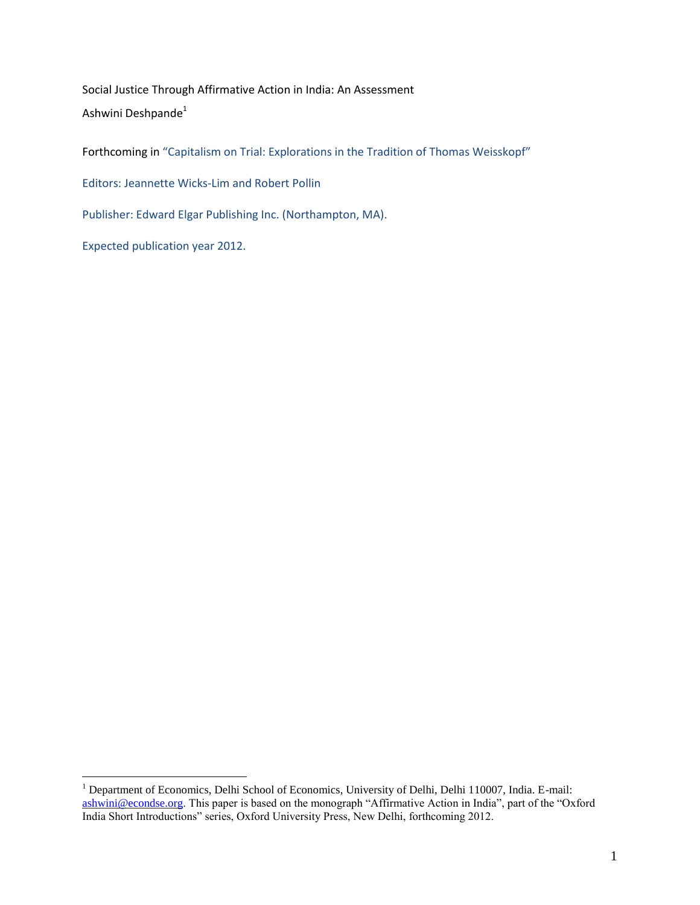Social Justice Through Affirmative Action in India: An Assessment Ashwini Deshpande<sup>1</sup>

Forthcoming in "Capitalism on Trial: Explorations in the Tradition of Thomas Weisskopf"

Editors: Jeannette Wicks-Lim and Robert Pollin

Publisher: Edward Elgar Publishing Inc. (Northampton, MA).

Expected publication year 2012.

 $\overline{a}$ 

<sup>&</sup>lt;sup>1</sup> Department of Economics, Delhi School of Economics, University of Delhi, Delhi 110007, India. E-mail: [ashwini@econdse.org.](mailto:ashwini@econdse.org) This paper is based on the monograph "Affirmative Action in India", part of the "Oxford India Short Introductions" series, Oxford University Press, New Delhi, forthcoming 2012.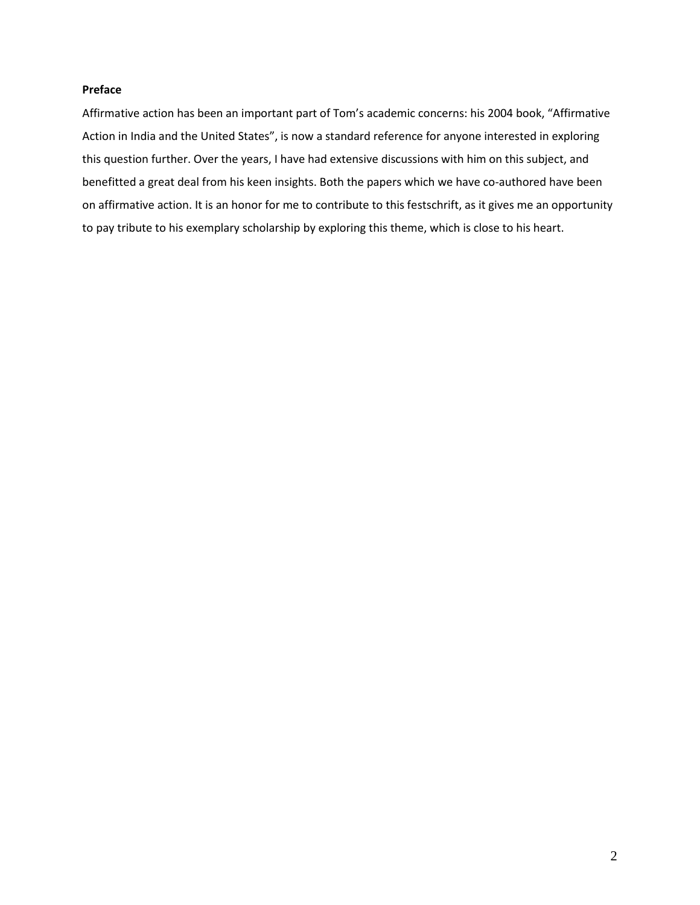# **Preface**

Affirmative action has been an important part of Tom's academic concerns: his 2004 book, "Affirmative Action in India and the United States", is now a standard reference for anyone interested in exploring this question further. Over the years, I have had extensive discussions with him on this subject, and benefitted a great deal from his keen insights. Both the papers which we have co-authored have been on affirmative action. It is an honor for me to contribute to this festschrift, as it gives me an opportunity to pay tribute to his exemplary scholarship by exploring this theme, which is close to his heart.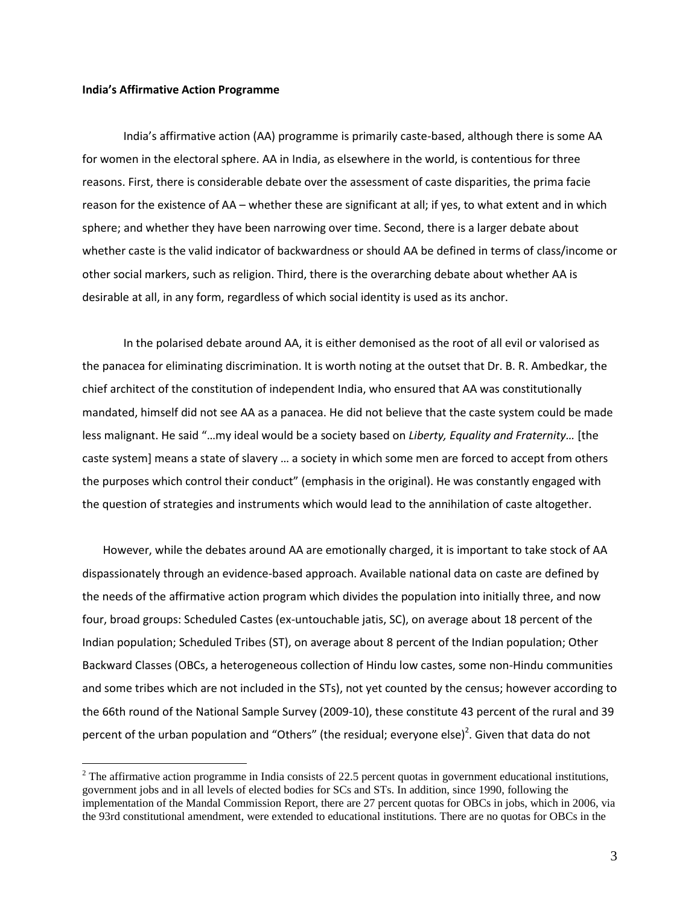### **India's Affirmative Action Programme**

 $\overline{a}$ 

India's affirmative action (AA) programme is primarily caste-based, although there is some AA for women in the electoral sphere. AA in India, as elsewhere in the world, is contentious for three reasons. First, there is considerable debate over the assessment of caste disparities, the prima facie reason for the existence of AA – whether these are significant at all; if yes, to what extent and in which sphere; and whether they have been narrowing over time. Second, there is a larger debate about whether caste is the valid indicator of backwardness or should AA be defined in terms of class/income or other social markers, such as religion. Third, there is the overarching debate about whether AA is desirable at all, in any form, regardless of which social identity is used as its anchor.

In the polarised debate around AA, it is either demonised as the root of all evil or valorised as the panacea for eliminating discrimination. It is worth noting at the outset that Dr. B. R. Ambedkar, the chief architect of the constitution of independent India, who ensured that AA was constitutionally mandated, himself did not see AA as a panacea. He did not believe that the caste system could be made less malignant. He said "…my ideal would be a society based on *Liberty, Equality and Fraternity…* [the caste system] means a state of slavery … a society in which some men are forced to accept from others the purposes which control their conduct" (emphasis in the original). He was constantly engaged with the question of strategies and instruments which would lead to the annihilation of caste altogether.

However, while the debates around AA are emotionally charged, it is important to take stock of AA dispassionately through an evidence-based approach. Available national data on caste are defined by the needs of the affirmative action program which divides the population into initially three, and now four, broad groups: Scheduled Castes (ex-untouchable jatis, SC), on average about 18 percent of the Indian population; Scheduled Tribes (ST), on average about 8 percent of the Indian population; Other Backward Classes (OBCs, a heterogeneous collection of Hindu low castes, some non-Hindu communities and some tribes which are not included in the STs), not yet counted by the census; however according to the 66th round of the National Sample Survey (2009-10), these constitute 43 percent of the rural and 39 percent of the urban population and "Others" (the residual; everyone else)<sup>2</sup>. Given that data do not

 $2$  The affirmative action programme in India consists of 22.5 percent quotas in government educational institutions, government jobs and in all levels of elected bodies for SCs and STs. In addition, since 1990, following the implementation of the Mandal Commission Report, there are 27 percent quotas for OBCs in jobs, which in 2006, via the 93rd constitutional amendment, were extended to educational institutions. There are no quotas for OBCs in the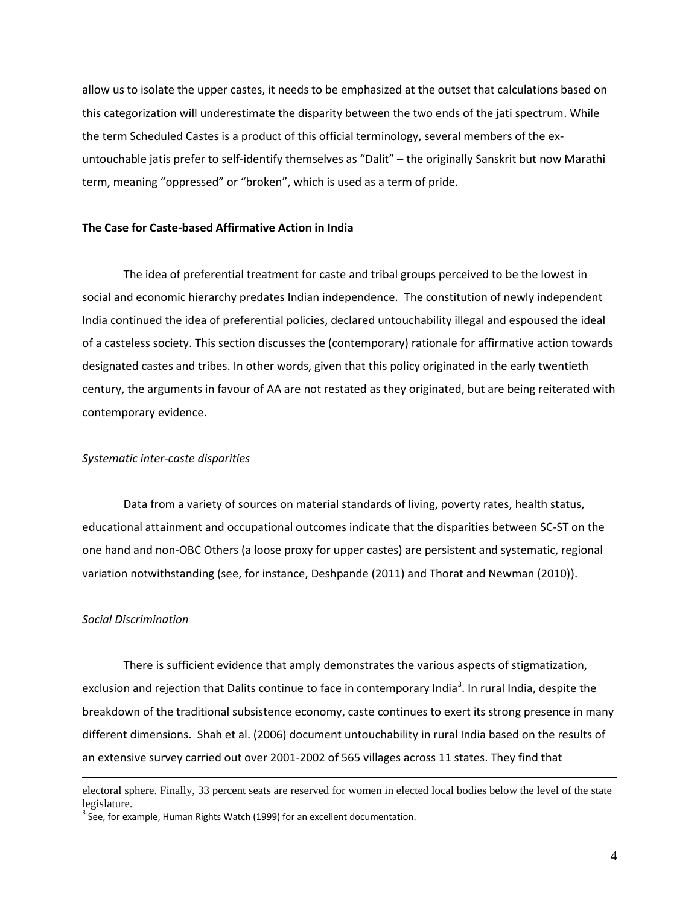allow us to isolate the upper castes, it needs to be emphasized at the outset that calculations based on this categorization will underestimate the disparity between the two ends of the jati spectrum. While the term Scheduled Castes is a product of this official terminology, several members of the exuntouchable jatis prefer to self-identify themselves as "Dalit" – the originally Sanskrit but now Marathi term, meaning "oppressed" or "broken", which is used as a term of pride.

# **The Case for Caste-based Affirmative Action in India**

The idea of preferential treatment for caste and tribal groups perceived to be the lowest in social and economic hierarchy predates Indian independence. The constitution of newly independent India continued the idea of preferential policies, declared untouchability illegal and espoused the ideal of a casteless society. This section discusses the (contemporary) rationale for affirmative action towards designated castes and tribes. In other words, given that this policy originated in the early twentieth century, the arguments in favour of AA are not restated as they originated, but are being reiterated with contemporary evidence.

## *Systematic inter-caste disparities*

Data from a variety of sources on material standards of living, poverty rates, health status, educational attainment and occupational outcomes indicate that the disparities between SC-ST on the one hand and non-OBC Others (a loose proxy for upper castes) are persistent and systematic, regional variation notwithstanding (see, for instance, Deshpande (2011) and Thorat and Newman (2010)).

### *Social Discrimination*

 $\overline{a}$ 

There is sufficient evidence that amply demonstrates the various aspects of stigmatization, exclusion and rejection that Dalits continue to face in contemporary India<sup>3</sup>. In rural India, despite the breakdown of the traditional subsistence economy, caste continues to exert its strong presence in many different dimensions. Shah et al. (2006) document untouchability in rural India based on the results of an extensive survey carried out over 2001-2002 of 565 villages across 11 states. They find that

electoral sphere. Finally, 33 percent seats are reserved for women in elected local bodies below the level of the state legislature.

 $3$  See, for example, Human Rights Watch (1999) for an excellent documentation.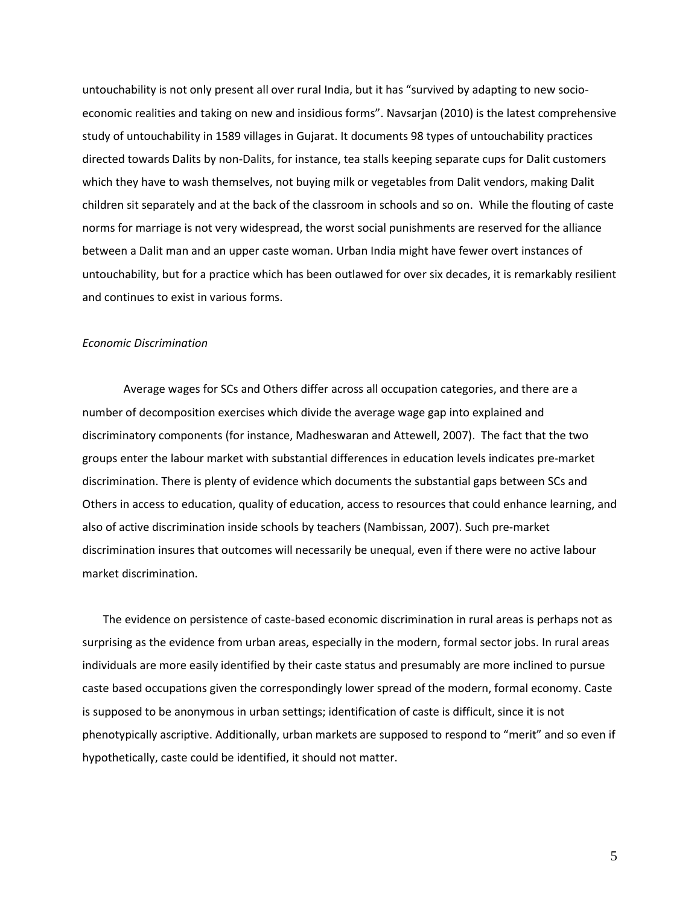untouchability is not only present all over rural India, but it has "survived by adapting to new socioeconomic realities and taking on new and insidious forms". Navsarjan (2010) is the latest comprehensive study of untouchability in 1589 villages in Gujarat. It documents 98 types of untouchability practices directed towards Dalits by non-Dalits, for instance, tea stalls keeping separate cups for Dalit customers which they have to wash themselves, not buying milk or vegetables from Dalit vendors, making Dalit children sit separately and at the back of the classroom in schools and so on. While the flouting of caste norms for marriage is not very widespread, the worst social punishments are reserved for the alliance between a Dalit man and an upper caste woman. Urban India might have fewer overt instances of untouchability, but for a practice which has been outlawed for over six decades, it is remarkably resilient and continues to exist in various forms.

### *Economic Discrimination*

Average wages for SCs and Others differ across all occupation categories, and there are a number of decomposition exercises which divide the average wage gap into explained and discriminatory components (for instance, Madheswaran and Attewell, 2007). The fact that the two groups enter the labour market with substantial differences in education levels indicates pre-market discrimination. There is plenty of evidence which documents the substantial gaps between SCs and Others in access to education, quality of education, access to resources that could enhance learning, and also of active discrimination inside schools by teachers (Nambissan, 2007). Such pre-market discrimination insures that outcomes will necessarily be unequal, even if there were no active labour market discrimination.

The evidence on persistence of caste-based economic discrimination in rural areas is perhaps not as surprising as the evidence from urban areas, especially in the modern, formal sector jobs. In rural areas individuals are more easily identified by their caste status and presumably are more inclined to pursue caste based occupations given the correspondingly lower spread of the modern, formal economy. Caste is supposed to be anonymous in urban settings; identification of caste is difficult, since it is not phenotypically ascriptive. Additionally, urban markets are supposed to respond to "merit" and so even if hypothetically, caste could be identified, it should not matter.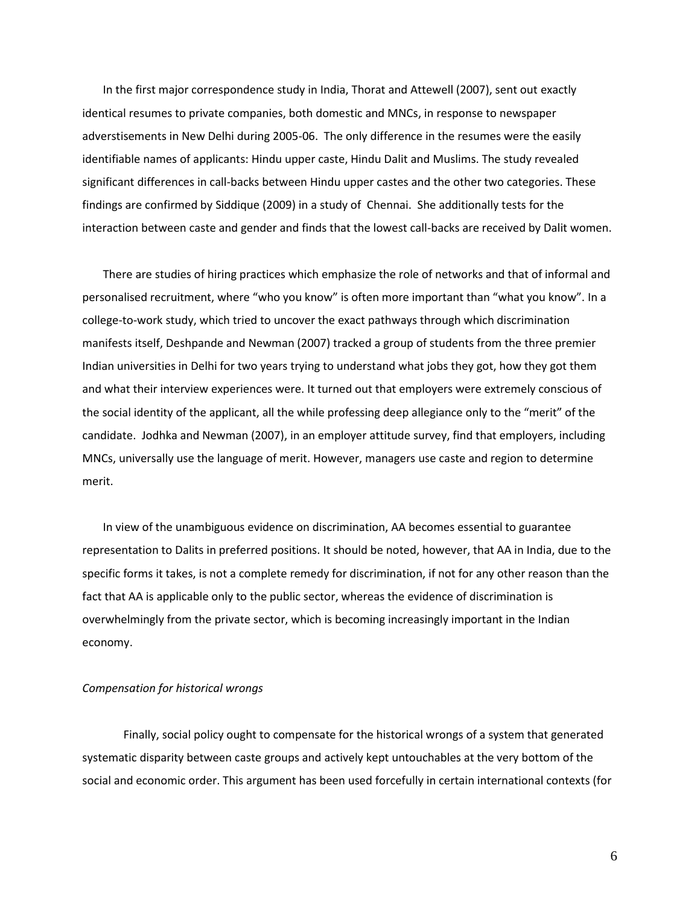In the first major correspondence study in India, Thorat and Attewell (2007), sent out exactly identical resumes to private companies, both domestic and MNCs, in response to newspaper adverstisements in New Delhi during 2005-06. The only difference in the resumes were the easily identifiable names of applicants: Hindu upper caste, Hindu Dalit and Muslims. The study revealed significant differences in call-backs between Hindu upper castes and the other two categories. These findings are confirmed by Siddique (2009) in a study of Chennai. She additionally tests for the interaction between caste and gender and finds that the lowest call-backs are received by Dalit women.

There are studies of hiring practices which emphasize the role of networks and that of informal and personalised recruitment, where "who you know" is often more important than "what you know". In a college-to-work study, which tried to uncover the exact pathways through which discrimination manifests itself, Deshpande and Newman (2007) tracked a group of students from the three premier Indian universities in Delhi for two years trying to understand what jobs they got, how they got them and what their interview experiences were. It turned out that employers were extremely conscious of the social identity of the applicant, all the while professing deep allegiance only to the "merit" of the candidate. Jodhka and Newman (2007), in an employer attitude survey, find that employers, including MNCs, universally use the language of merit. However, managers use caste and region to determine merit.

In view of the unambiguous evidence on discrimination, AA becomes essential to guarantee representation to Dalits in preferred positions. It should be noted, however, that AA in India, due to the specific forms it takes, is not a complete remedy for discrimination, if not for any other reason than the fact that AA is applicable only to the public sector, whereas the evidence of discrimination is overwhelmingly from the private sector, which is becoming increasingly important in the Indian economy.

## *Compensation for historical wrongs*

Finally, social policy ought to compensate for the historical wrongs of a system that generated systematic disparity between caste groups and actively kept untouchables at the very bottom of the social and economic order. This argument has been used forcefully in certain international contexts (for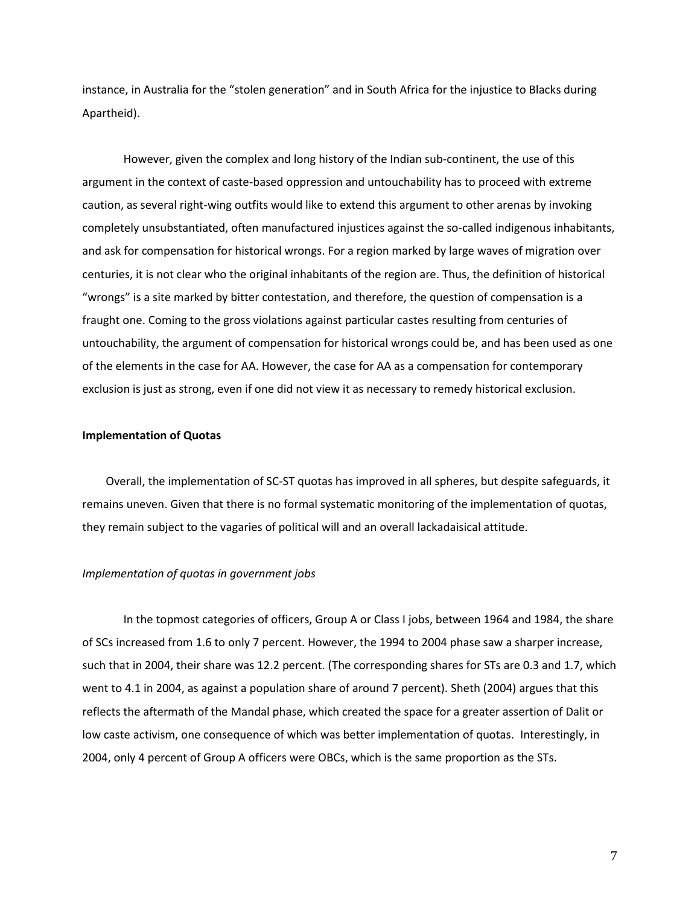instance, in Australia for the "stolen generation" and in South Africa for the injustice to Blacks during Apartheid).

However, given the complex and long history of the Indian sub-continent, the use of this argument in the context of caste-based oppression and untouchability has to proceed with extreme caution, as several right-wing outfits would like to extend this argument to other arenas by invoking completely unsubstantiated, often manufactured injustices against the so-called indigenous inhabitants, and ask for compensation for historical wrongs. For a region marked by large waves of migration over centuries, it is not clear who the original inhabitants of the region are. Thus, the definition of historical "wrongs" is a site marked by bitter contestation, and therefore, the question of compensation is a fraught one. Coming to the gross violations against particular castes resulting from centuries of untouchability, the argument of compensation for historical wrongs could be, and has been used as one of the elements in the case for AA. However, the case for AA as a compensation for contemporary exclusion is just as strong, even if one did not view it as necessary to remedy historical exclusion.

## **Implementation of Quotas**

Overall, the implementation of SC-ST quotas has improved in all spheres, but despite safeguards, it remains uneven. Given that there is no formal systematic monitoring of the implementation of quotas, they remain subject to the vagaries of political will and an overall lackadaisical attitude.

### *Implementation of quotas in government jobs*

In the topmost categories of officers, Group A or Class I jobs, between 1964 and 1984, the share of SCs increased from 1.6 to only 7 percent. However, the 1994 to 2004 phase saw a sharper increase, such that in 2004, their share was 12.2 percent. (The corresponding shares for STs are 0.3 and 1.7, which went to 4.1 in 2004, as against a population share of around 7 percent). Sheth (2004) argues that this reflects the aftermath of the Mandal phase, which created the space for a greater assertion of Dalit or low caste activism, one consequence of which was better implementation of quotas. Interestingly, in 2004, only 4 percent of Group A officers were OBCs, which is the same proportion as the STs.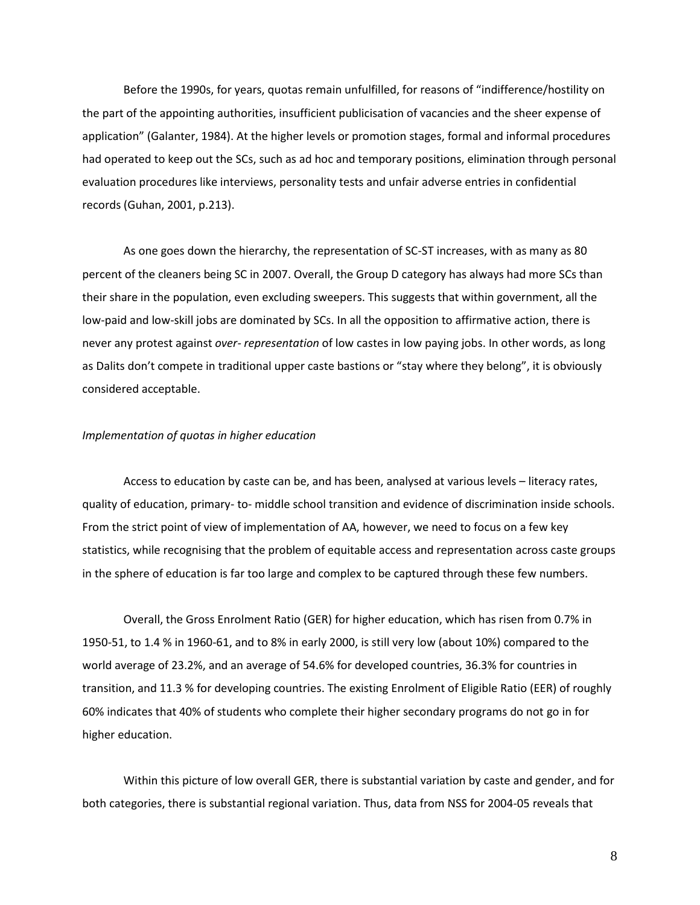Before the 1990s, for years, quotas remain unfulfilled, for reasons of "indifference/hostility on the part of the appointing authorities, insufficient publicisation of vacancies and the sheer expense of application" (Galanter, 1984). At the higher levels or promotion stages, formal and informal procedures had operated to keep out the SCs, such as ad hoc and temporary positions, elimination through personal evaluation procedures like interviews, personality tests and unfair adverse entries in confidential records (Guhan, 2001, p.213).

As one goes down the hierarchy, the representation of SC-ST increases, with as many as 80 percent of the cleaners being SC in 2007. Overall, the Group D category has always had more SCs than their share in the population, even excluding sweepers. This suggests that within government, all the low-paid and low-skill jobs are dominated by SCs. In all the opposition to affirmative action, there is never any protest against *over- representation* of low castes in low paying jobs. In other words, as long as Dalits don't compete in traditional upper caste bastions or "stay where they belong", it is obviously considered acceptable.

## *Implementation of quotas in higher education*

Access to education by caste can be, and has been, analysed at various levels – literacy rates, quality of education, primary- to- middle school transition and evidence of discrimination inside schools. From the strict point of view of implementation of AA, however, we need to focus on a few key statistics, while recognising that the problem of equitable access and representation across caste groups in the sphere of education is far too large and complex to be captured through these few numbers.

Overall, the Gross Enrolment Ratio (GER) for higher education, which has risen from 0.7% in 1950-51, to 1.4 % in 1960-61, and to 8% in early 2000, is still very low (about 10%) compared to the world average of 23.2%, and an average of 54.6% for developed countries, 36.3% for countries in transition, and 11.3 % for developing countries. The existing Enrolment of Eligible Ratio (EER) of roughly 60% indicates that 40% of students who complete their higher secondary programs do not go in for higher education.

Within this picture of low overall GER, there is substantial variation by caste and gender, and for both categories, there is substantial regional variation. Thus, data from NSS for 2004-05 reveals that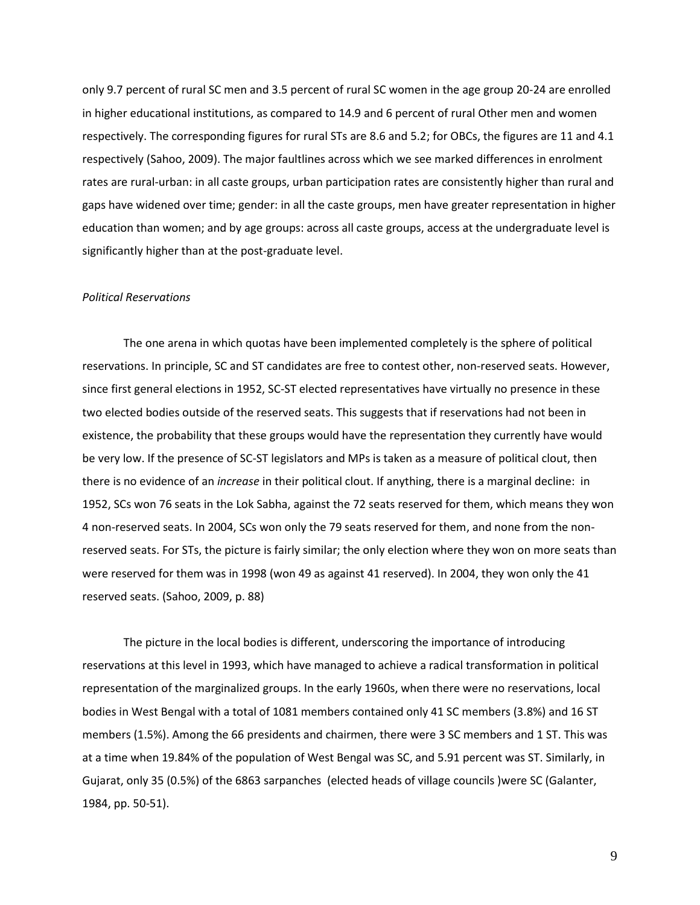only 9.7 percent of rural SC men and 3.5 percent of rural SC women in the age group 20-24 are enrolled in higher educational institutions, as compared to 14.9 and 6 percent of rural Other men and women respectively. The corresponding figures for rural STs are 8.6 and 5.2; for OBCs, the figures are 11 and 4.1 respectively (Sahoo, 2009). The major faultlines across which we see marked differences in enrolment rates are rural-urban: in all caste groups, urban participation rates are consistently higher than rural and gaps have widened over time; gender: in all the caste groups, men have greater representation in higher education than women; and by age groups: across all caste groups, access at the undergraduate level is significantly higher than at the post-graduate level.

## *Political Reservations*

The one arena in which quotas have been implemented completely is the sphere of political reservations. In principle, SC and ST candidates are free to contest other, non-reserved seats. However, since first general elections in 1952, SC-ST elected representatives have virtually no presence in these two elected bodies outside of the reserved seats. This suggests that if reservations had not been in existence, the probability that these groups would have the representation they currently have would be very low. If the presence of SC-ST legislators and MPs is taken as a measure of political clout, then there is no evidence of an *increase* in their political clout. If anything, there is a marginal decline: in 1952, SCs won 76 seats in the Lok Sabha, against the 72 seats reserved for them, which means they won 4 non-reserved seats. In 2004, SCs won only the 79 seats reserved for them, and none from the nonreserved seats. For STs, the picture is fairly similar; the only election where they won on more seats than were reserved for them was in 1998 (won 49 as against 41 reserved). In 2004, they won only the 41 reserved seats. (Sahoo, 2009, p. 88)

The picture in the local bodies is different, underscoring the importance of introducing reservations at this level in 1993, which have managed to achieve a radical transformation in political representation of the marginalized groups. In the early 1960s, when there were no reservations, local bodies in West Bengal with a total of 1081 members contained only 41 SC members (3.8%) and 16 ST members (1.5%). Among the 66 presidents and chairmen, there were 3 SC members and 1 ST. This was at a time when 19.84% of the population of West Bengal was SC, and 5.91 percent was ST. Similarly, in Gujarat, only 35 (0.5%) of the 6863 sarpanches (elected heads of village councils )were SC (Galanter, 1984, pp. 50-51).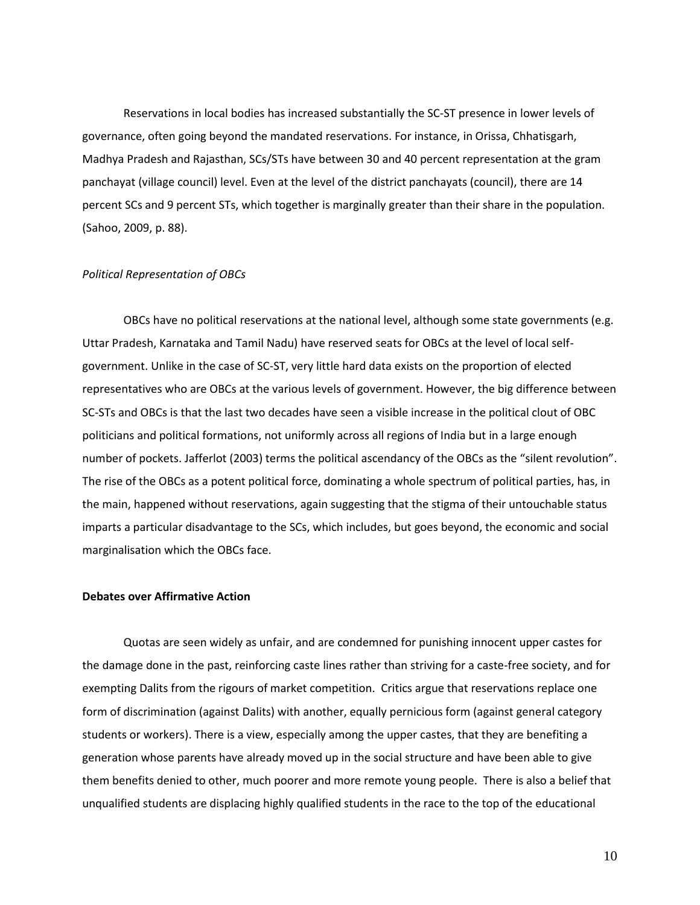Reservations in local bodies has increased substantially the SC-ST presence in lower levels of governance, often going beyond the mandated reservations. For instance, in Orissa, Chhatisgarh, Madhya Pradesh and Rajasthan, SCs/STs have between 30 and 40 percent representation at the gram panchayat (village council) level. Even at the level of the district panchayats (council), there are 14 percent SCs and 9 percent STs, which together is marginally greater than their share in the population. (Sahoo, 2009, p. 88).

#### *Political Representation of OBCs*

OBCs have no political reservations at the national level, although some state governments (e.g. Uttar Pradesh, Karnataka and Tamil Nadu) have reserved seats for OBCs at the level of local selfgovernment. Unlike in the case of SC-ST, very little hard data exists on the proportion of elected representatives who are OBCs at the various levels of government. However, the big difference between SC-STs and OBCs is that the last two decades have seen a visible increase in the political clout of OBC politicians and political formations, not uniformly across all regions of India but in a large enough number of pockets. Jafferlot (2003) terms the political ascendancy of the OBCs as the "silent revolution". The rise of the OBCs as a potent political force, dominating a whole spectrum of political parties, has, in the main, happened without reservations, again suggesting that the stigma of their untouchable status imparts a particular disadvantage to the SCs, which includes, but goes beyond, the economic and social marginalisation which the OBCs face.

## **Debates over Affirmative Action**

Quotas are seen widely as unfair, and are condemned for punishing innocent upper castes for the damage done in the past, reinforcing caste lines rather than striving for a caste-free society, and for exempting Dalits from the rigours of market competition. Critics argue that reservations replace one form of discrimination (against Dalits) with another, equally pernicious form (against general category students or workers). There is a view, especially among the upper castes, that they are benefiting a generation whose parents have already moved up in the social structure and have been able to give them benefits denied to other, much poorer and more remote young people. There is also a belief that unqualified students are displacing highly qualified students in the race to the top of the educational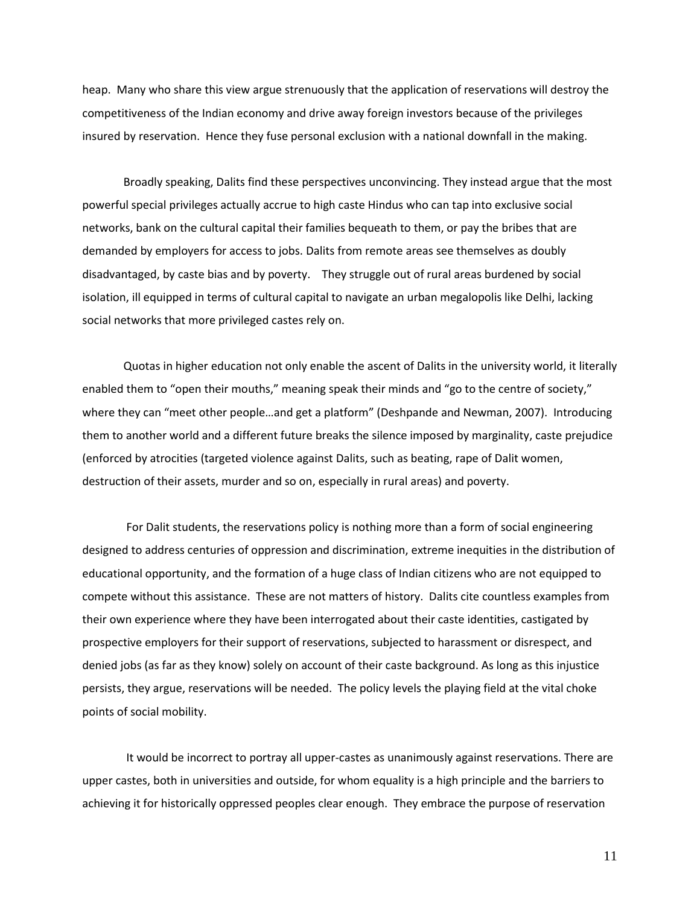heap. Many who share this view argue strenuously that the application of reservations will destroy the competitiveness of the Indian economy and drive away foreign investors because of the privileges insured by reservation. Hence they fuse personal exclusion with a national downfall in the making.

Broadly speaking, Dalits find these perspectives unconvincing. They instead argue that the most powerful special privileges actually accrue to high caste Hindus who can tap into exclusive social networks, bank on the cultural capital their families bequeath to them, or pay the bribes that are demanded by employers for access to jobs. Dalits from remote areas see themselves as doubly disadvantaged, by caste bias and by poverty. They struggle out of rural areas burdened by social isolation, ill equipped in terms of cultural capital to navigate an urban megalopolis like Delhi, lacking social networks that more privileged castes rely on.

Quotas in higher education not only enable the ascent of Dalits in the university world, it literally enabled them to "open their mouths," meaning speak their minds and "go to the centre of society," where they can "meet other people…and get a platform" (Deshpande and Newman, 2007). Introducing them to another world and a different future breaks the silence imposed by marginality, caste prejudice (enforced by atrocities (targeted violence against Dalits, such as beating, rape of Dalit women, destruction of their assets, murder and so on, especially in rural areas) and poverty.

For Dalit students, the reservations policy is nothing more than a form of social engineering designed to address centuries of oppression and discrimination, extreme inequities in the distribution of educational opportunity, and the formation of a huge class of Indian citizens who are not equipped to compete without this assistance. These are not matters of history. Dalits cite countless examples from their own experience where they have been interrogated about their caste identities, castigated by prospective employers for their support of reservations, subjected to harassment or disrespect, and denied jobs (as far as they know) solely on account of their caste background. As long as this injustice persists, they argue, reservations will be needed. The policy levels the playing field at the vital choke points of social mobility.

It would be incorrect to portray all upper-castes as unanimously against reservations. There are upper castes, both in universities and outside, for whom equality is a high principle and the barriers to achieving it for historically oppressed peoples clear enough. They embrace the purpose of reservation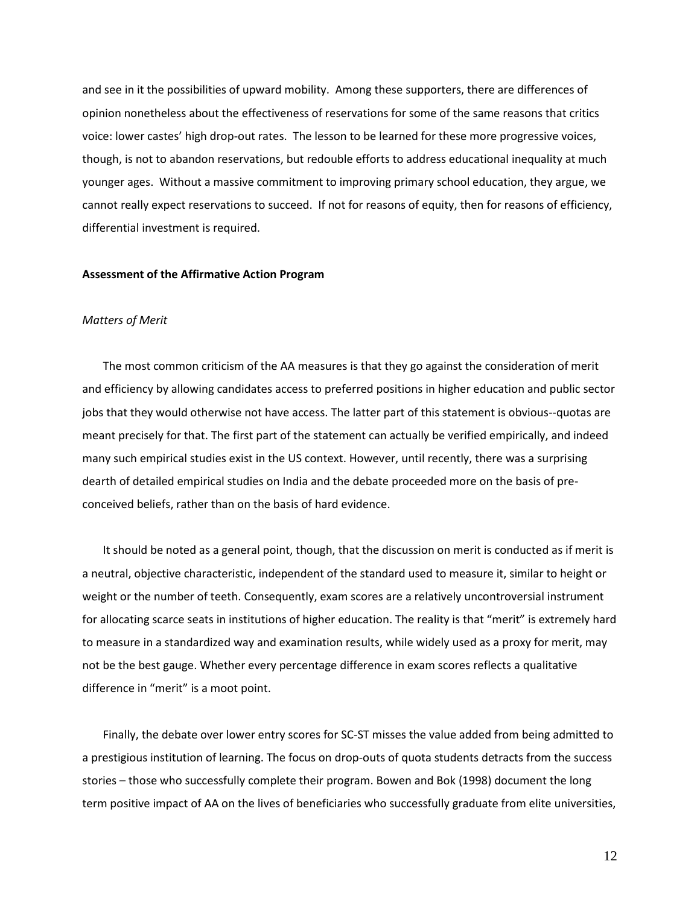and see in it the possibilities of upward mobility. Among these supporters, there are differences of opinion nonetheless about the effectiveness of reservations for some of the same reasons that critics voice: lower castes' high drop-out rates. The lesson to be learned for these more progressive voices, though, is not to abandon reservations, but redouble efforts to address educational inequality at much younger ages. Without a massive commitment to improving primary school education, they argue, we cannot really expect reservations to succeed. If not for reasons of equity, then for reasons of efficiency, differential investment is required.

#### **Assessment of the Affirmative Action Program**

### *Matters of Merit*

The most common criticism of the AA measures is that they go against the consideration of merit and efficiency by allowing candidates access to preferred positions in higher education and public sector jobs that they would otherwise not have access. The latter part of this statement is obvious--quotas are meant precisely for that. The first part of the statement can actually be verified empirically, and indeed many such empirical studies exist in the US context. However, until recently, there was a surprising dearth of detailed empirical studies on India and the debate proceeded more on the basis of preconceived beliefs, rather than on the basis of hard evidence.

It should be noted as a general point, though, that the discussion on merit is conducted as if merit is a neutral, objective characteristic, independent of the standard used to measure it, similar to height or weight or the number of teeth. Consequently, exam scores are a relatively uncontroversial instrument for allocating scarce seats in institutions of higher education. The reality is that "merit" is extremely hard to measure in a standardized way and examination results, while widely used as a proxy for merit, may not be the best gauge. Whether every percentage difference in exam scores reflects a qualitative difference in "merit" is a moot point.

Finally, the debate over lower entry scores for SC-ST misses the value added from being admitted to a prestigious institution of learning. The focus on drop-outs of quota students detracts from the success stories – those who successfully complete their program. Bowen and Bok (1998) document the long term positive impact of AA on the lives of beneficiaries who successfully graduate from elite universities,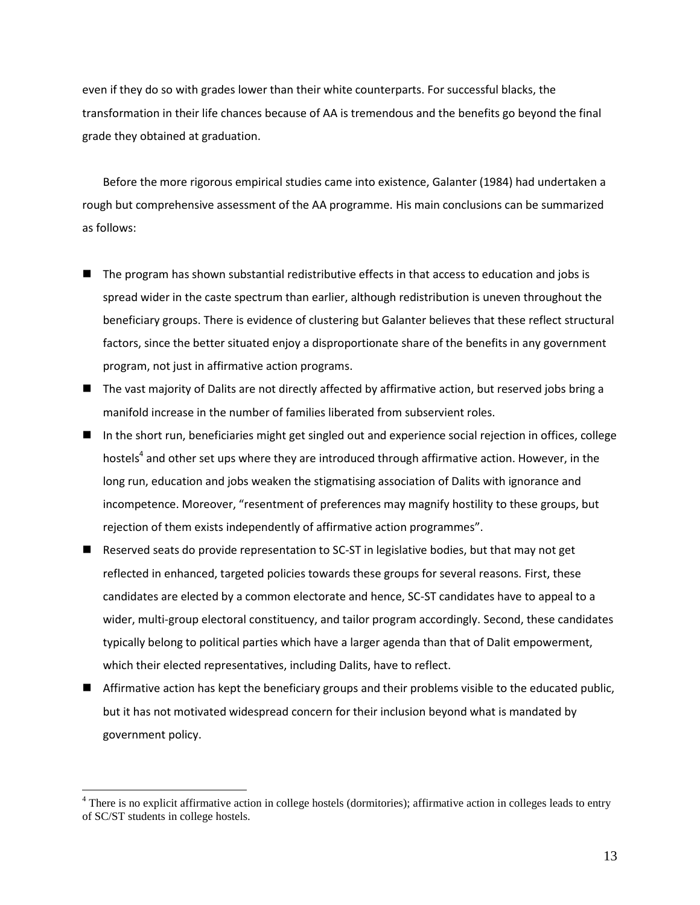even if they do so with grades lower than their white counterparts. For successful blacks, the transformation in their life chances because of AA is tremendous and the benefits go beyond the final grade they obtained at graduation.

Before the more rigorous empirical studies came into existence, Galanter (1984) had undertaken a rough but comprehensive assessment of the AA programme. His main conclusions can be summarized as follows:

- The program has shown substantial redistributive effects in that access to education and jobs is spread wider in the caste spectrum than earlier, although redistribution is uneven throughout the beneficiary groups. There is evidence of clustering but Galanter believes that these reflect structural factors, since the better situated enjoy a disproportionate share of the benefits in any government program, not just in affirmative action programs.
- The vast majority of Dalits are not directly affected by affirmative action, but reserved jobs bring a manifold increase in the number of families liberated from subservient roles.
- In the short run, beneficiaries might get singled out and experience social rejection in offices, college hostels<sup>4</sup> and other set ups where they are introduced through affirmative action. However, in the long run, education and jobs weaken the stigmatising association of Dalits with ignorance and incompetence. Moreover, "resentment of preferences may magnify hostility to these groups, but rejection of them exists independently of affirmative action programmes".
- Reserved seats do provide representation to SC-ST in legislative bodies, but that may not get reflected in enhanced, targeted policies towards these groups for several reasons. First, these candidates are elected by a common electorate and hence, SC-ST candidates have to appeal to a wider, multi-group electoral constituency, and tailor program accordingly. Second, these candidates typically belong to political parties which have a larger agenda than that of Dalit empowerment, which their elected representatives, including Dalits, have to reflect.
- **Affirmative action has kept the beneficiary groups and their problems visible to the educated public,** but it has not motivated widespread concern for their inclusion beyond what is mandated by government policy.

 $\overline{a}$ 

<sup>&</sup>lt;sup>4</sup> There is no explicit affirmative action in college hostels (dormitories); affirmative action in colleges leads to entry of SC/ST students in college hostels.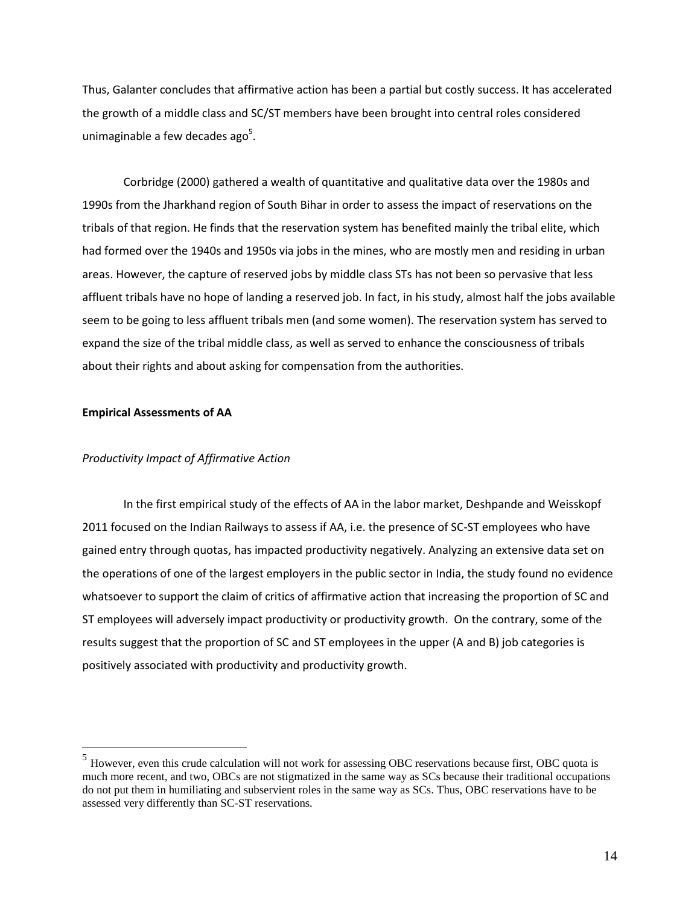Thus, Galanter concludes that affirmative action has been a partial but costly success. It has accelerated the growth of a middle class and SC/ST members have been brought into central roles considered unimaginable a few decades ago<sup>5</sup>.

Corbridge (2000) gathered a wealth of quantitative and qualitative data over the 1980s and 1990s from the Jharkhand region of South Bihar in order to assess the impact of reservations on the tribals of that region. He finds that the reservation system has benefited mainly the tribal elite, which had formed over the 1940s and 1950s via jobs in the mines, who are mostly men and residing in urban areas. However, the capture of reserved jobs by middle class STs has not been so pervasive that less affluent tribals have no hope of landing a reserved job. In fact, in his study, almost half the jobs available seem to be going to less affluent tribals men (and some women). The reservation system has served to expand the size of the tribal middle class, as well as served to enhance the consciousness of tribals about their rights and about asking for compensation from the authorities.

### **Empirical Assessments of AA**

### *Productivity Impact of Affirmative Action*

In the first empirical study of the effects of AA in the labor market, Deshpande and Weisskopf 2011 focused on the Indian Railways to assess if AA, i.e. the presence of SC-ST employees who have gained entry through quotas, has impacted productivity negatively. Analyzing an extensive data set on the operations of one of the largest employers in the public sector in India, the study found no evidence whatsoever to support the claim of critics of affirmative action that increasing the proportion of SC and ST employees will adversely impact productivity or productivity growth. On the contrary, some of the results suggest that the proportion of SC and ST employees in the upper (A and B) job categories is positively associated with productivity and productivity growth.

<sup>&</sup>lt;sup>5</sup><br>However, even this crude calculation will not work for assessing OBC reservations because first, OBC quota is much more recent, and two, OBCs are not stigmatized in the same way as SCs because their traditional occupations do not put them in humiliating and subservient roles in the same way as SCs. Thus, OBC reservations have to be assessed very differently than SC-ST reservations.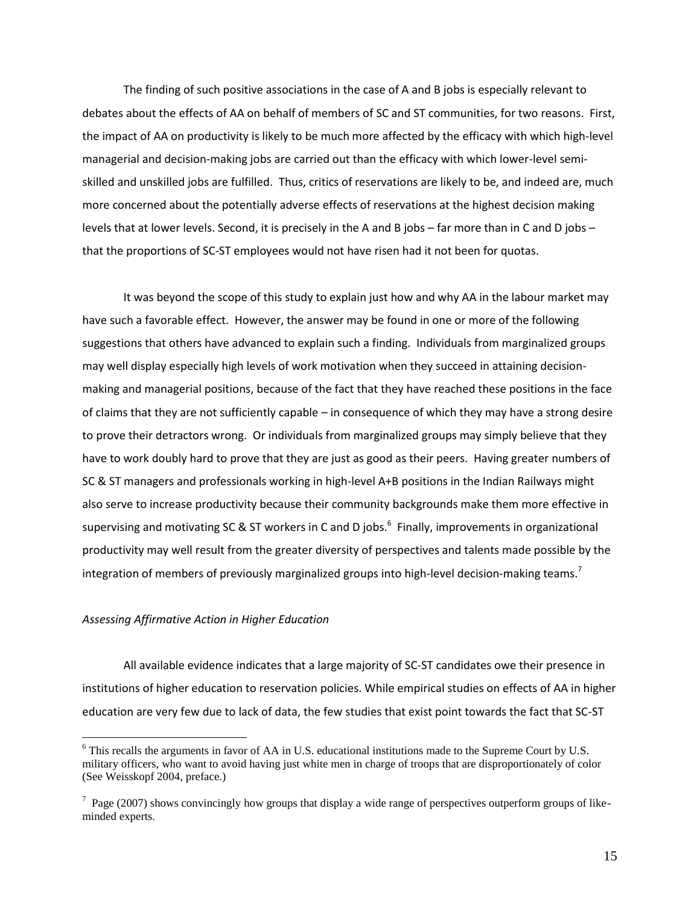The finding of such positive associations in the case of A and B jobs is especially relevant to debates about the effects of AA on behalf of members of SC and ST communities, for two reasons. First, the impact of AA on productivity is likely to be much more affected by the efficacy with which high-level managerial and decision-making jobs are carried out than the efficacy with which lower-level semiskilled and unskilled jobs are fulfilled. Thus, critics of reservations are likely to be, and indeed are, much more concerned about the potentially adverse effects of reservations at the highest decision making levels that at lower levels. Second, it is precisely in the A and B jobs – far more than in C and D jobs – that the proportions of SC-ST employees would not have risen had it not been for quotas.

It was beyond the scope of this study to explain just how and why AA in the labour market may have such a favorable effect. However, the answer may be found in one or more of the following suggestions that others have advanced to explain such a finding. Individuals from marginalized groups may well display especially high levels of work motivation when they succeed in attaining decisionmaking and managerial positions, because of the fact that they have reached these positions in the face of claims that they are not sufficiently capable – in consequence of which they may have a strong desire to prove their detractors wrong. Or individuals from marginalized groups may simply believe that they have to work doubly hard to prove that they are just as good as their peers. Having greater numbers of SC & ST managers and professionals working in high-level A+B positions in the Indian Railways might also serve to increase productivity because their community backgrounds make them more effective in supervising and motivating SC & ST workers in C and D jobs.<sup>6</sup> Finally, improvements in organizational productivity may well result from the greater diversity of perspectives and talents made possible by the integration of members of previously marginalized groups into high-level decision-making teams.<sup>7</sup>

## *Assessing Affirmative Action in Higher Education*

 $\overline{a}$ 

All available evidence indicates that a large majority of SC-ST candidates owe their presence in institutions of higher education to reservation policies. While empirical studies on effects of AA in higher education are very few due to lack of data, the few studies that exist point towards the fact that SC-ST

<sup>6</sup> This recalls the arguments in favor of AA in U.S. educational institutions made to the Supreme Court by U.S. military officers, who want to avoid having just white men in charge of troops that are disproportionately of color (See Weisskopf 2004, preface.)

 $^7$  Page (2007) shows convincingly how groups that display a wide range of perspectives outperform groups of likeminded experts.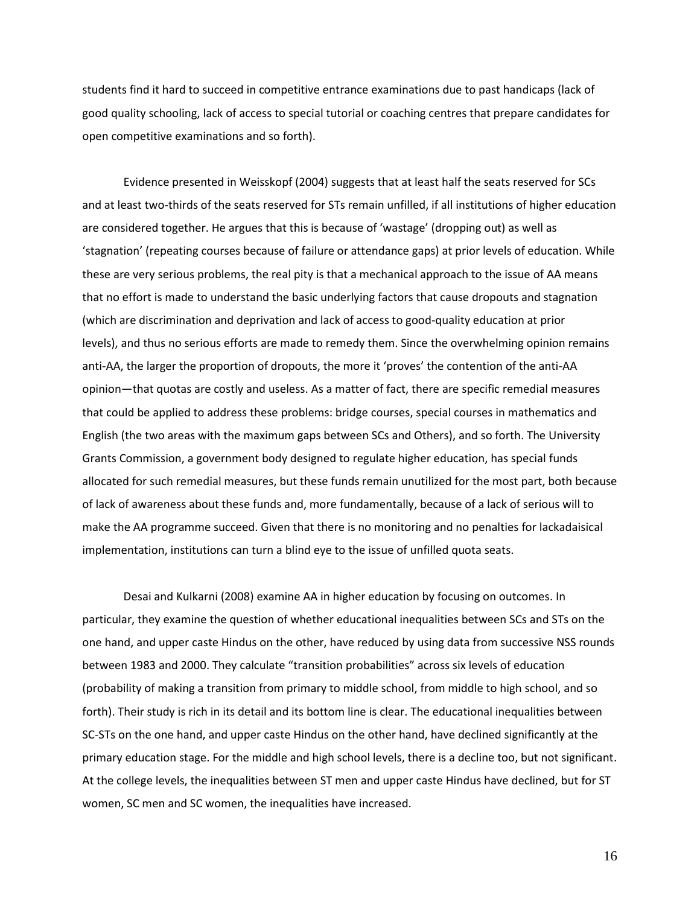students find it hard to succeed in competitive entrance examinations due to past handicaps (lack of good quality schooling, lack of access to special tutorial or coaching centres that prepare candidates for open competitive examinations and so forth).

Evidence presented in Weisskopf (2004) suggests that at least half the seats reserved for SCs and at least two-thirds of the seats reserved for STs remain unfilled, if all institutions of higher education are considered together. He argues that this is because of 'wastage' (dropping out) as well as 'stagnation' (repeating courses because of failure or attendance gaps) at prior levels of education. While these are very serious problems, the real pity is that a mechanical approach to the issue of AA means that no effort is made to understand the basic underlying factors that cause dropouts and stagnation (which are discrimination and deprivation and lack of access to good-quality education at prior levels), and thus no serious efforts are made to remedy them. Since the overwhelming opinion remains anti-AA, the larger the proportion of dropouts, the more it 'proves' the contention of the anti-AA opinion—that quotas are costly and useless. As a matter of fact, there are specific remedial measures that could be applied to address these problems: bridge courses, special courses in mathematics and English (the two areas with the maximum gaps between SCs and Others), and so forth. The University Grants Commission, a government body designed to regulate higher education, has special funds allocated for such remedial measures, but these funds remain unutilized for the most part, both because of lack of awareness about these funds and, more fundamentally, because of a lack of serious will to make the AA programme succeed. Given that there is no monitoring and no penalties for lackadaisical implementation, institutions can turn a blind eye to the issue of unfilled quota seats.

Desai and Kulkarni (2008) examine AA in higher education by focusing on outcomes. In particular, they examine the question of whether educational inequalities between SCs and STs on the one hand, and upper caste Hindus on the other, have reduced by using data from successive NSS rounds between 1983 and 2000. They calculate "transition probabilities" across six levels of education (probability of making a transition from primary to middle school, from middle to high school, and so forth). Their study is rich in its detail and its bottom line is clear. The educational inequalities between SC-STs on the one hand, and upper caste Hindus on the other hand, have declined significantly at the primary education stage. For the middle and high school levels, there is a decline too, but not significant. At the college levels, the inequalities between ST men and upper caste Hindus have declined, but for ST women, SC men and SC women, the inequalities have increased.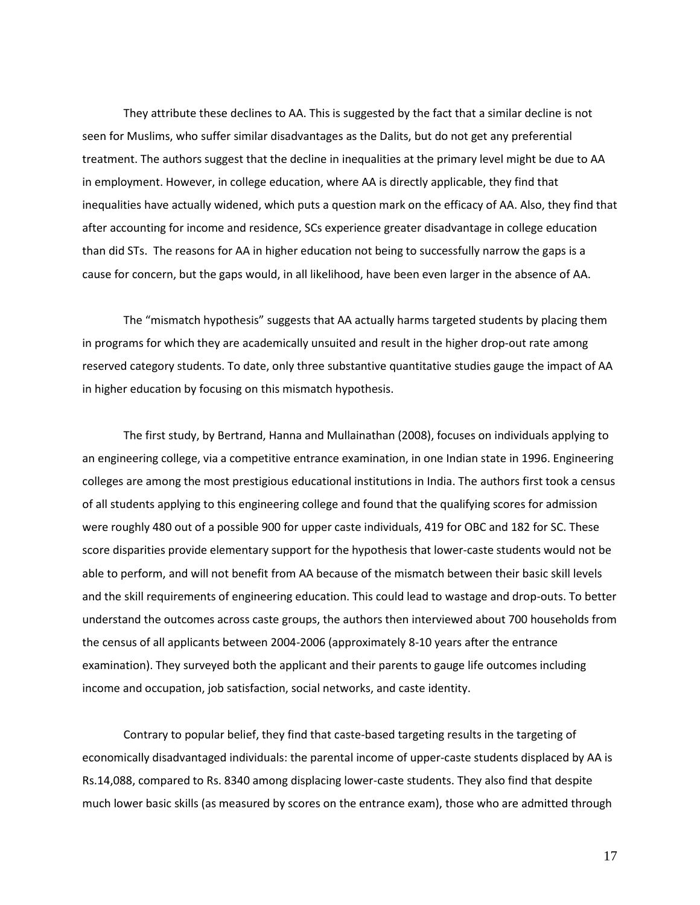They attribute these declines to AA. This is suggested by the fact that a similar decline is not seen for Muslims, who suffer similar disadvantages as the Dalits, but do not get any preferential treatment. The authors suggest that the decline in inequalities at the primary level might be due to AA in employment. However, in college education, where AA is directly applicable, they find that inequalities have actually widened, which puts a question mark on the efficacy of AA. Also, they find that after accounting for income and residence, SCs experience greater disadvantage in college education than did STs. The reasons for AA in higher education not being to successfully narrow the gaps is a cause for concern, but the gaps would, in all likelihood, have been even larger in the absence of AA.

The "mismatch hypothesis" suggests that AA actually harms targeted students by placing them in programs for which they are academically unsuited and result in the higher drop-out rate among reserved category students. To date, only three substantive quantitative studies gauge the impact of AA in higher education by focusing on this mismatch hypothesis.

The first study, by Bertrand, Hanna and Mullainathan (2008), focuses on individuals applying to an engineering college, via a competitive entrance examination, in one Indian state in 1996. Engineering colleges are among the most prestigious educational institutions in India. The authors first took a census of all students applying to this engineering college and found that the qualifying scores for admission were roughly 480 out of a possible 900 for upper caste individuals, 419 for OBC and 182 for SC. These score disparities provide elementary support for the hypothesis that lower-caste students would not be able to perform, and will not benefit from AA because of the mismatch between their basic skill levels and the skill requirements of engineering education. This could lead to wastage and drop-outs. To better understand the outcomes across caste groups, the authors then interviewed about 700 households from the census of all applicants between 2004-2006 (approximately 8-10 years after the entrance examination). They surveyed both the applicant and their parents to gauge life outcomes including income and occupation, job satisfaction, social networks, and caste identity.

Contrary to popular belief, they find that caste-based targeting results in the targeting of economically disadvantaged individuals: the parental income of upper-caste students displaced by AA is Rs.14,088, compared to Rs. 8340 among displacing lower-caste students. They also find that despite much lower basic skills (as measured by scores on the entrance exam), those who are admitted through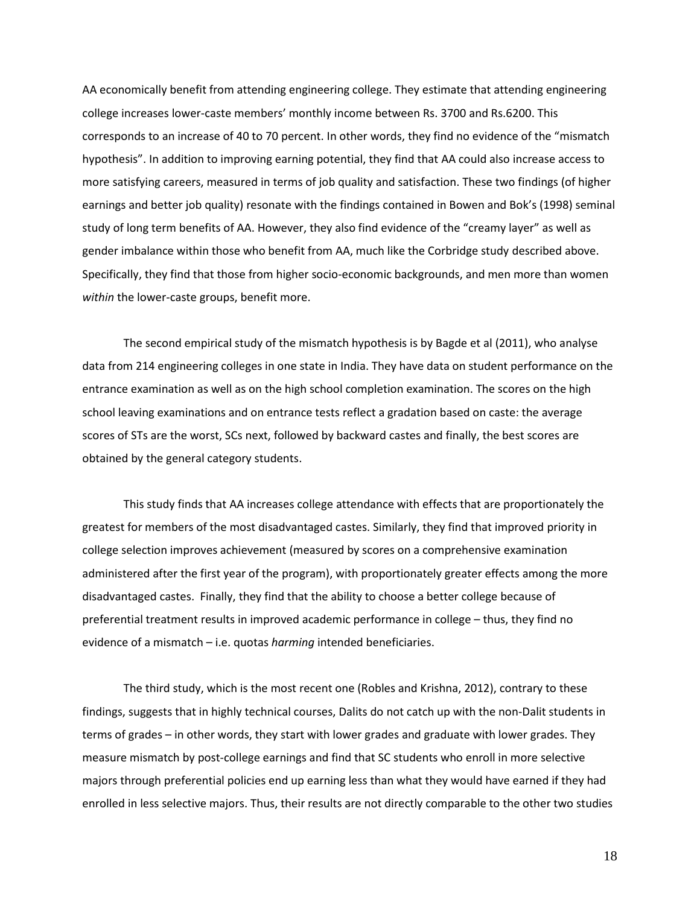AA economically benefit from attending engineering college. They estimate that attending engineering college increases lower-caste members' monthly income between Rs. 3700 and Rs.6200. This corresponds to an increase of 40 to 70 percent. In other words, they find no evidence of the "mismatch hypothesis". In addition to improving earning potential, they find that AA could also increase access to more satisfying careers, measured in terms of job quality and satisfaction. These two findings (of higher earnings and better job quality) resonate with the findings contained in Bowen and Bok's (1998) seminal study of long term benefits of AA. However, they also find evidence of the "creamy layer" as well as gender imbalance within those who benefit from AA, much like the Corbridge study described above. Specifically, they find that those from higher socio-economic backgrounds, and men more than women *within* the lower-caste groups, benefit more.

The second empirical study of the mismatch hypothesis is by Bagde et al (2011), who analyse data from 214 engineering colleges in one state in India. They have data on student performance on the entrance examination as well as on the high school completion examination. The scores on the high school leaving examinations and on entrance tests reflect a gradation based on caste: the average scores of STs are the worst, SCs next, followed by backward castes and finally, the best scores are obtained by the general category students.

This study finds that AA increases college attendance with effects that are proportionately the greatest for members of the most disadvantaged castes. Similarly, they find that improved priority in college selection improves achievement (measured by scores on a comprehensive examination administered after the first year of the program), with proportionately greater effects among the more disadvantaged castes. Finally, they find that the ability to choose a better college because of preferential treatment results in improved academic performance in college – thus, they find no evidence of a mismatch – i.e. quotas *harming* intended beneficiaries.

The third study, which is the most recent one (Robles and Krishna, 2012), contrary to these findings, suggests that in highly technical courses, Dalits do not catch up with the non-Dalit students in terms of grades – in other words, they start with lower grades and graduate with lower grades. They measure mismatch by post-college earnings and find that SC students who enroll in more selective majors through preferential policies end up earning less than what they would have earned if they had enrolled in less selective majors. Thus, their results are not directly comparable to the other two studies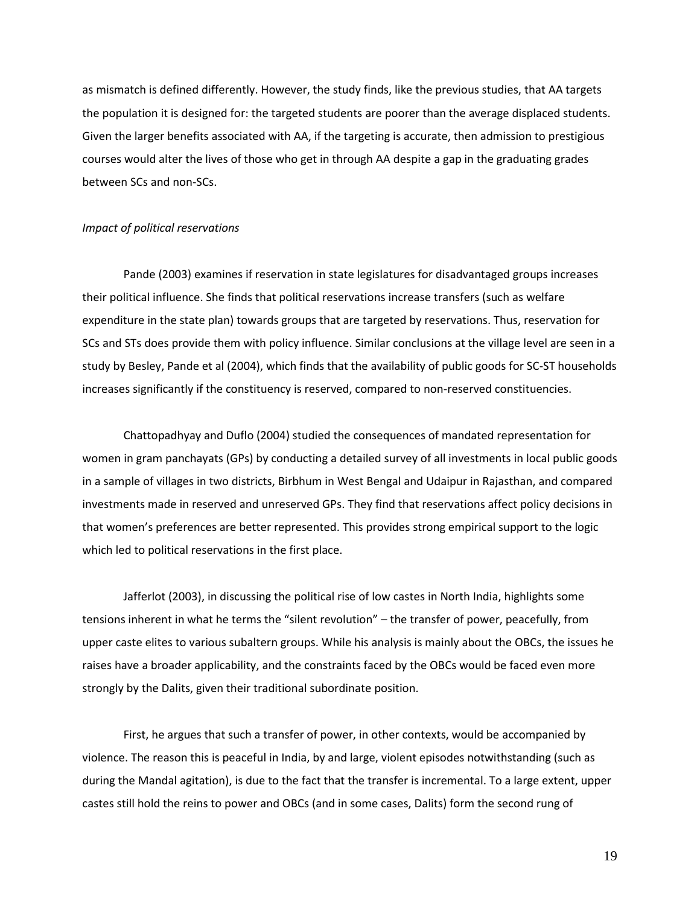as mismatch is defined differently. However, the study finds, like the previous studies, that AA targets the population it is designed for: the targeted students are poorer than the average displaced students. Given the larger benefits associated with AA, if the targeting is accurate, then admission to prestigious courses would alter the lives of those who get in through AA despite a gap in the graduating grades between SCs and non-SCs.

### *Impact of political reservations*

Pande (2003) examines if reservation in state legislatures for disadvantaged groups increases their political influence. She finds that political reservations increase transfers (such as welfare expenditure in the state plan) towards groups that are targeted by reservations. Thus, reservation for SCs and STs does provide them with policy influence. Similar conclusions at the village level are seen in a study by Besley, Pande et al (2004), which finds that the availability of public goods for SC-ST households increases significantly if the constituency is reserved, compared to non-reserved constituencies.

Chattopadhyay and Duflo (2004) studied the consequences of mandated representation for women in gram panchayats (GPs) by conducting a detailed survey of all investments in local public goods in a sample of villages in two districts, Birbhum in West Bengal and Udaipur in Rajasthan, and compared investments made in reserved and unreserved GPs. They find that reservations affect policy decisions in that women's preferences are better represented. This provides strong empirical support to the logic which led to political reservations in the first place.

Jafferlot (2003), in discussing the political rise of low castes in North India, highlights some tensions inherent in what he terms the "silent revolution" – the transfer of power, peacefully, from upper caste elites to various subaltern groups. While his analysis is mainly about the OBCs, the issues he raises have a broader applicability, and the constraints faced by the OBCs would be faced even more strongly by the Dalits, given their traditional subordinate position.

First, he argues that such a transfer of power, in other contexts, would be accompanied by violence. The reason this is peaceful in India, by and large, violent episodes notwithstanding (such as during the Mandal agitation), is due to the fact that the transfer is incremental. To a large extent, upper castes still hold the reins to power and OBCs (and in some cases, Dalits) form the second rung of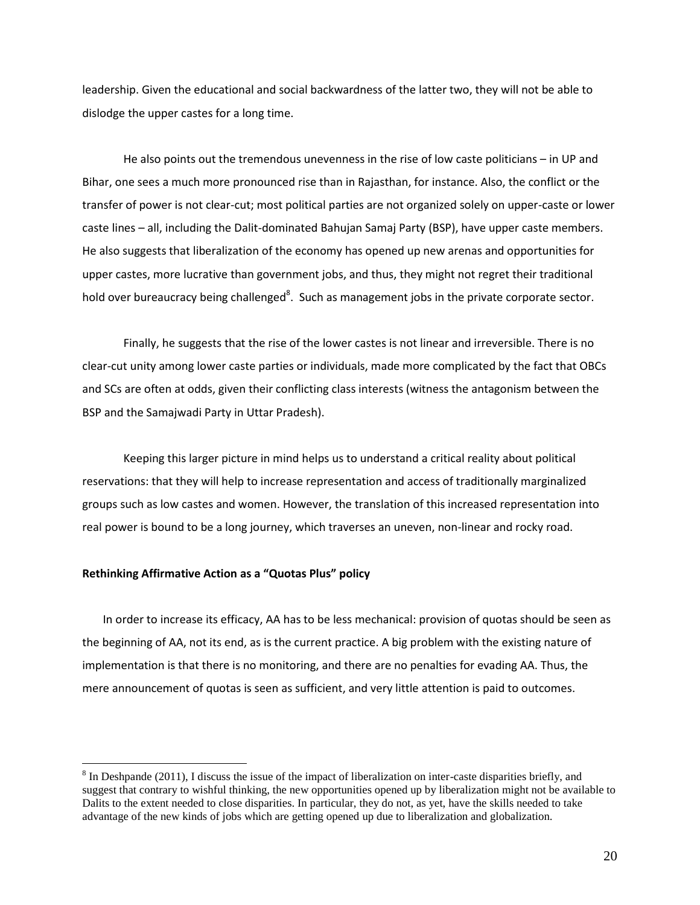leadership. Given the educational and social backwardness of the latter two, they will not be able to dislodge the upper castes for a long time.

He also points out the tremendous unevenness in the rise of low caste politicians – in UP and Bihar, one sees a much more pronounced rise than in Rajasthan, for instance. Also, the conflict or the transfer of power is not clear-cut; most political parties are not organized solely on upper-caste or lower caste lines – all, including the Dalit-dominated Bahujan Samaj Party (BSP), have upper caste members. He also suggests that liberalization of the economy has opened up new arenas and opportunities for upper castes, more lucrative than government jobs, and thus, they might not regret their traditional hold over bureaucracy being challenged<sup>8</sup>. Such as management jobs in the private corporate sector.

Finally, he suggests that the rise of the lower castes is not linear and irreversible. There is no clear-cut unity among lower caste parties or individuals, made more complicated by the fact that OBCs and SCs are often at odds, given their conflicting class interests (witness the antagonism between the BSP and the Samajwadi Party in Uttar Pradesh).

Keeping this larger picture in mind helps us to understand a critical reality about political reservations: that they will help to increase representation and access of traditionally marginalized groups such as low castes and women. However, the translation of this increased representation into real power is bound to be a long journey, which traverses an uneven, non-linear and rocky road.

## **Rethinking Affirmative Action as a "Quotas Plus" policy**

 $\overline{a}$ 

In order to increase its efficacy, AA has to be less mechanical: provision of quotas should be seen as the beginning of AA, not its end, as is the current practice. A big problem with the existing nature of implementation is that there is no monitoring, and there are no penalties for evading AA. Thus, the mere announcement of quotas is seen as sufficient, and very little attention is paid to outcomes.

 $8 \text{ In Deshponde } (2011)$ , I discuss the issue of the impact of liberalization on inter-caste disparities briefly, and suggest that contrary to wishful thinking, the new opportunities opened up by liberalization might not be available to Dalits to the extent needed to close disparities. In particular, they do not, as yet, have the skills needed to take advantage of the new kinds of jobs which are getting opened up due to liberalization and globalization.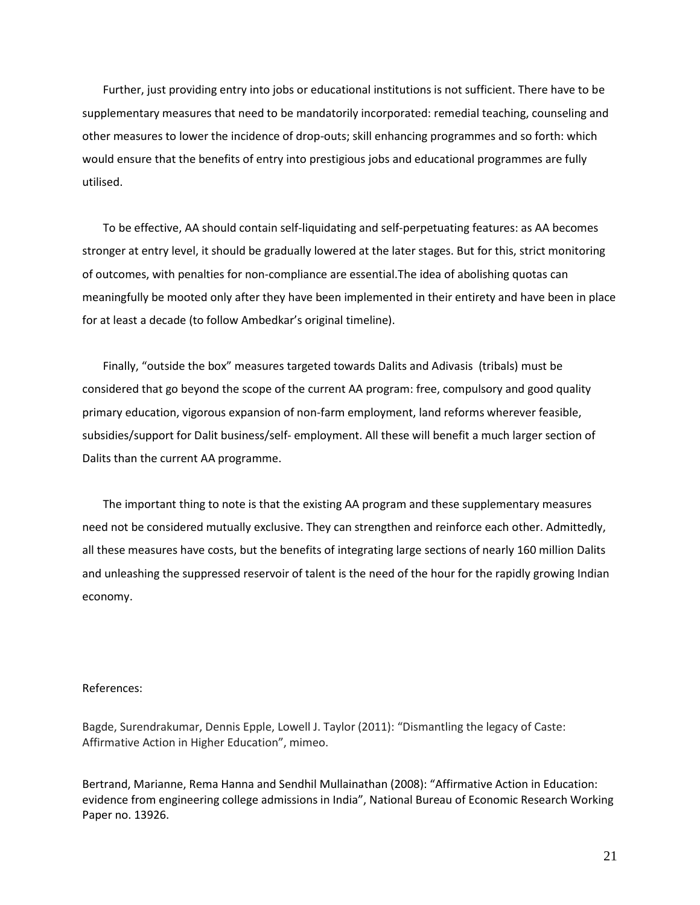Further, just providing entry into jobs or educational institutions is not sufficient. There have to be supplementary measures that need to be mandatorily incorporated: remedial teaching, counseling and other measures to lower the incidence of drop-outs; skill enhancing programmes and so forth: which would ensure that the benefits of entry into prestigious jobs and educational programmes are fully utilised.

To be effective, AA should contain self-liquidating and self-perpetuating features: as AA becomes stronger at entry level, it should be gradually lowered at the later stages. But for this, strict monitoring of outcomes, with penalties for non-compliance are essential.The idea of abolishing quotas can meaningfully be mooted only after they have been implemented in their entirety and have been in place for at least a decade (to follow Ambedkar's original timeline).

Finally, "outside the box" measures targeted towards Dalits and Adivasis (tribals) must be considered that go beyond the scope of the current AA program: free, compulsory and good quality primary education, vigorous expansion of non-farm employment, land reforms wherever feasible, subsidies/support for Dalit business/self- employment. All these will benefit a much larger section of Dalits than the current AA programme.

The important thing to note is that the existing AA program and these supplementary measures need not be considered mutually exclusive. They can strengthen and reinforce each other. Admittedly, all these measures have costs, but the benefits of integrating large sections of nearly 160 million Dalits and unleashing the suppressed reservoir of talent is the need of the hour for the rapidly growing Indian economy.

## References:

Bagde, Surendrakumar, Dennis Epple, Lowell J. Taylor (2011): "Dismantling the legacy of Caste: Affirmative Action in Higher Education", mimeo.

Bertrand, Marianne, Rema Hanna and Sendhil Mullainathan (2008): "Affirmative Action in Education: evidence from engineering college admissions in India", National Bureau of Economic Research Working Paper no. 13926.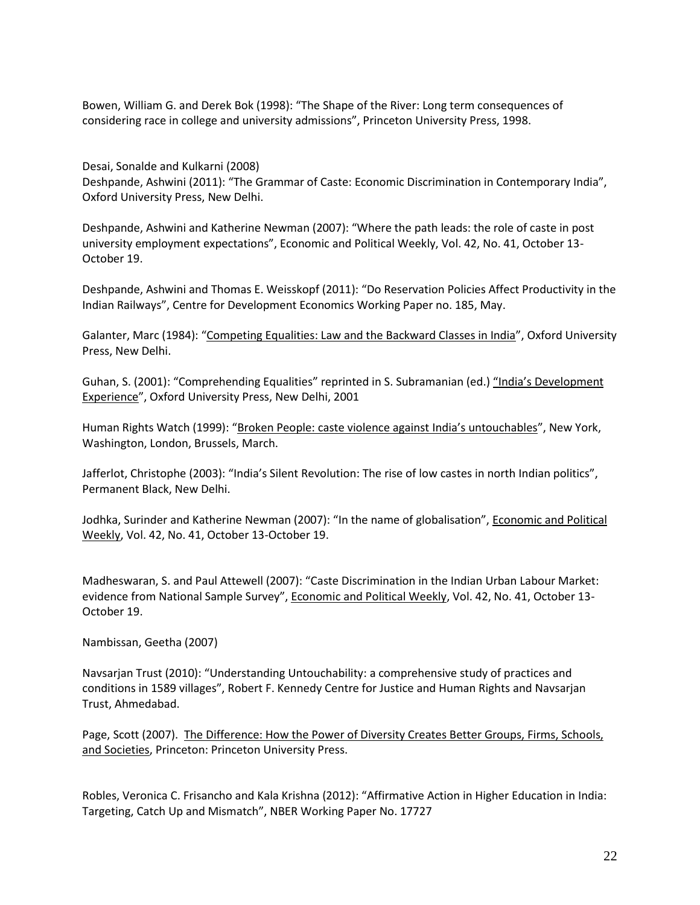Bowen, William G. and Derek Bok (1998): "The Shape of the River: Long term consequences of considering race in college and university admissions", Princeton University Press, 1998.

Desai, Sonalde and Kulkarni (2008) Deshpande, Ashwini (2011): "The Grammar of Caste: Economic Discrimination in Contemporary India", Oxford University Press, New Delhi.

Deshpande, Ashwini and Katherine Newman (2007): "Where the path leads: the role of caste in post university employment expectations", Economic and Political Weekly, Vol. 42, No. 41, October 13- October 19.

Deshpande, Ashwini and Thomas E. Weisskopf (2011): "Do Reservation Policies Affect Productivity in the Indian Railways", Centre for Development Economics Working Paper no. 185, May.

Galanter, Marc (1984): "Competing Equalities: Law and the Backward Classes in India", Oxford University Press, New Delhi.

Guhan, S. (2001): "Comprehending Equalities" reprinted in S. Subramanian (ed.) "India's Development Experience", Oxford University Press, New Delhi, 2001

Human Rights Watch (1999): "Broken People: caste violence against India's untouchables", New York, Washington, London, Brussels, March.

Jafferlot, Christophe (2003): "India's Silent Revolution: The rise of low castes in north Indian politics", Permanent Black, New Delhi.

Jodhka, Surinder and Katherine Newman (2007): "In the name of globalisation", Economic and Political Weekly, Vol. 42, No. 41, October 13-October 19.

Madheswaran, S. and Paul Attewell (2007): "Caste Discrimination in the Indian Urban Labour Market: evidence from National Sample Survey", Economic and Political Weekly, Vol. 42, No. 41, October 13- October 19.

Nambissan, Geetha (2007)

Navsarjan Trust (2010): "Understanding Untouchability: a comprehensive study of practices and conditions in 1589 villages", Robert F. Kennedy Centre for Justice and Human Rights and Navsarjan Trust, Ahmedabad.

Page, Scott (2007). The Difference: How the Power of Diversity Creates Better Groups, Firms, Schools, and Societies, Princeton: Princeton University Press.

Robles, Veronica C. Frisancho and Kala Krishna (2012): "Affirmative Action in Higher Education in India: Targeting, Catch Up and Mismatch", NBER Working Paper No. 17727